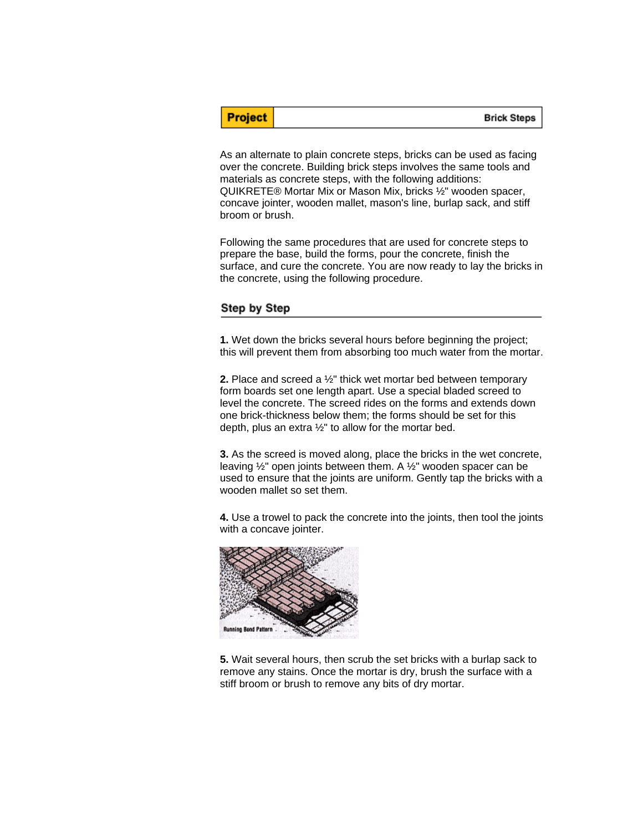**Brick Steps** 

As an alternate to plain concrete steps, bricks can be used as facing over the concrete. Building brick steps involves the same tools and materials as concrete steps, with the following additions: QUIKRETE® Mortar Mix or Mason Mix, bricks ½" wooden spacer, concave jointer, wooden mallet, mason's line, burlap sack, and stiff broom or brush.

Following the same procedures that are used for concrete steps to prepare the base, build the forms, pour the concrete, finish the surface, and cure the concrete. You are now ready to lay the bricks in the concrete, using the following procedure.

## Step by Step

**Project** 

**1.** Wet down the bricks several hours before beginning the project; this will prevent them from absorbing too much water from the mortar.

**2.** Place and screed a ½" thick wet mortar bed between temporary form boards set one length apart. Use a special bladed screed to level the concrete. The screed rides on the forms and extends down one brick-thickness below them; the forms should be set for this depth, plus an extra  $\frac{1}{2}$ " to allow for the mortar bed.

**3.** As the screed is moved along, place the bricks in the wet concrete, leaving ½" open joints between them. A ½" wooden spacer can be used to ensure that the joints are uniform. Gently tap the bricks with a wooden mallet so set them.

**4.** Use a trowel to pack the concrete into the joints, then tool the joints with a concave jointer.



**5.** Wait several hours, then scrub the set bricks with a burlap sack to remove any stains. Once the mortar is dry, brush the surface with a stiff broom or brush to remove any bits of dry mortar.